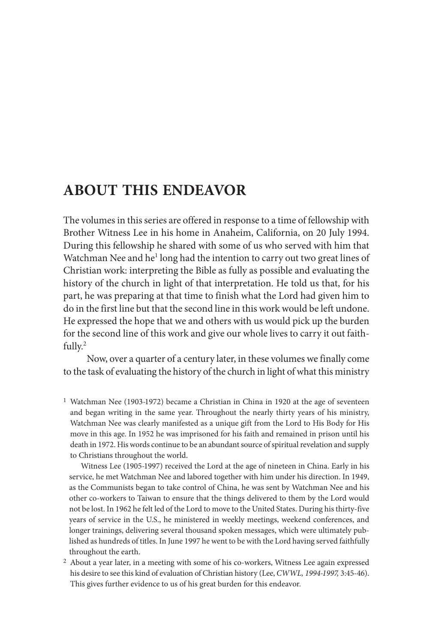# **ABOUT THIS ENDEAVOR**

 The volumes in this series are offered in response to a time of fellowship with Brother Witness Lee in his home in Anaheim, California, on 20 July 1994. During this fellowship he shared with some of us who served with him that Watchman Nee and he<sup>1</sup> long had the intention to carry out two great lines of Christian work: interpreting the Bible as fully as possible and evaluating the history of the church in light of that interpretation. He told us that, for his part, he was preparing at that time to finish what the Lord had given him to do in the first line but that the second line in this work would be left undone. He expressed the hope that we and others with us would pick up the burden for the second line of this work and give our whole lives to carry it out faithfully.<sup>2</sup>

 Now, over a quarter of a century later, in these volumes we finally come to the task of evaluating the history of the church in light of what this ministry

<sup>1</sup> Watchman Nee (1903-1972) became a Christian in China in 1920 at the age of seventeen and began writing in the same year. Throughout the nearly thirty years of his ministry, Watchman Nee was clearly manifested as a unique gift from the Lord to His Body for His move in this age. In 1952 he was imprisoned for his faith and remained in prison until his death in 1972. His words continue to be an abundant source of spiritual revelation and supply to Christians throughout the world.

Witness Lee (1905-1997) received the Lord at the age of nineteen in China. Early in his service, he met Watchman Nee and labored together with him under his direction. In 1949, as the Communists began to take control of China, he was sent by Watchman Nee and his other co-workers to Taiwan to ensure that the things delivered to them by the Lord would not be lost. In 1962 he felt led of the Lord to move to the United States. During his thirty-five years of service in the U.S., he ministered in weekly meetings, weekend conferences, and longer trainings, delivering several thousand spoken messages, which were ultimately published as hundreds of titles. In June 1997 he went to be with the Lord having served faithfully throughout the earth.

2 About a year later, in a meeting with some of his co-workers, Witness Lee again expressed his desire to see this kind of evaluation of Christian history (Lee, *CWWL, 1994-1997,* 3:45-46). This gives further evidence to us of his great burden for this endeavor.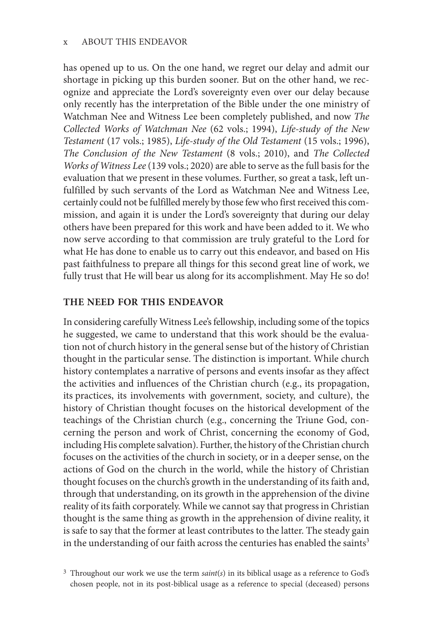has opened up to us. On the one hand, we regret our delay and admit our shortage in picking up this burden sooner. But on the other hand, we recognize and appreciate the Lord's sovereignty even over our delay because only recently has the interpretation of the Bible under the one ministry of Watchman Nee and Witness Lee been completely published, and now *The Collected Works of Watchman Nee* (62 vols.; 1994), *Life-study of the New Testament* (17 vols.; 1985), *Life-study of the Old Testament* (15 vols.; 1996), *The Conclusion of the New Testament* (8 vols.; 2010), and *The Collected Works of Witness Lee* (139 vols.; 2020) are able to serve as the full basis for the evaluation that we present in these volumes. Further, so great a task, left unfulfilled by such servants of the Lord as Watchman Nee and Witness Lee, certainly could not be fulfilled merely by those few who first received this commission, and again it is under the Lord's sovereignty that during our delay others have been prepared for this work and have been added to it. We who now serve according to that commission are truly grateful to the Lord for what He has done to enable us to carry out this endeavor, and based on His past faithfulness to prepare all things for this second great line of work, we fully trust that He will bear us along for its accomplishment. May He so do!

## **THE NEED FOR THIS ENDEAVOR**

 In considering carefully Witness Lee's fellowship, including some of the topics he suggested, we came to understand that this work should be the evaluation not of church history in the general sense but of the history of Christian thought in the particular sense. The distinction is important. While church history contemplates a narrative of persons and events insofar as they affect the activities and influences of the Christian church (e.g., its propagation, its practices, its involvements with government, society, and culture), the history of Christian thought focuses on the historical development of the teachings of the Christian church (e.g., concerning the Triune God, concerning the person and work of Christ, concerning the economy of God, including His complete salvation). Further, the history of the Christian church focuses on the activities of the church in society, or in a deeper sense, on the actions of God on the church in the world, while the history of Christian thought focuses on the church's growth in the understanding of its faith and, through that understanding, on its growth in the apprehension of the divine reality of its faith corporately. While we cannot say that progress in Christian thought is the same thing as growth in the apprehension of divine reality, it is safe to say that the former at least contributes to the latter. The steady gain in the understanding of our faith across the centuries has enabled the saints<sup>3</sup>

<sup>3</sup> Throughout our work we use the term *saint*(*s*) in its biblical usage as a reference to God's chosen people, not in its post-biblical usage as a reference to special (deceased) persons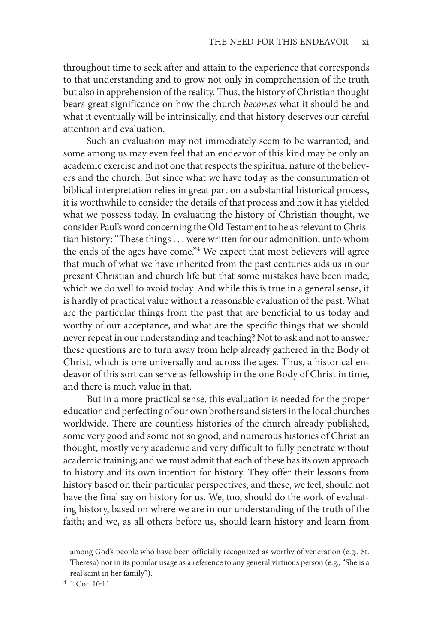throughout time to seek after and attain to the experience that corresponds to that understanding and to grow not only in comprehension of the truth but also in apprehension of the reality. Thus, the history of Christian thought bears great significance on how the church *becomes* what it should be and what it eventually will be intrinsically, and that history deserves our careful attention and evaluation.

 Such an evaluation may not immediately seem to be warranted, and some among us may even feel that an endeavor of this kind may be only an academic exercise and not one that respects the spiritual nature of the believers and the church. But since what we have today as the consummation of biblical interpretation relies in great part on a substantial historical process, it is worthwhile to consider the details of that process and how it has yielded what we possess today. In evaluating the history of Christian thought, we consider Paul's word concerning the Old Testament to be as relevant to Christian history: "These things . . . were written for our admonition, unto whom the ends of the ages have come."<sup>4</sup> We expect that most believers will agree that much of what we have inherited from the past centuries aids us in our present Christian and church life but that some mistakes have been made, which we do well to avoid today. And while this is true in a general sense, it is hardly of practical value without a reasonable evaluation of the past. What are the particular things from the past that are beneficial to us today and worthy of our acceptance, and what are the specific things that we should never repeat in our understanding and teaching? Not to ask and not to answer these questions are to turn away from help already gathered in the Body of Christ, which is one universally and across the ages. Thus, a historical endeavor of this sort can serve as fellowship in the one Body of Christ in time, and there is much value in that.

 But in a more practical sense, this evaluation is needed for the proper education and perfecting of our own brothers and sisters in the local churches worldwide. There are countless histories of the church already published, some very good and some not so good, and numerous histories of Christian thought, mostly very academic and very difficult to fully penetrate without academic training; and we must admit that each of these has its own approach to history and its own intention for history. They offer their lessons from history based on their particular perspectives, and these, we feel, should not have the final say on history for us. We, too, should do the work of evaluating history, based on where we are in our understanding of the truth of the faith; and we, as all others before us, should learn history and learn from

4 1 Cor. 10:11.

among God's people who have been officially recognized as worthy of veneration (e.g., St. Theresa) nor in its popular usage as a reference to any general virtuous person (e.g., "She is a real saint in her family").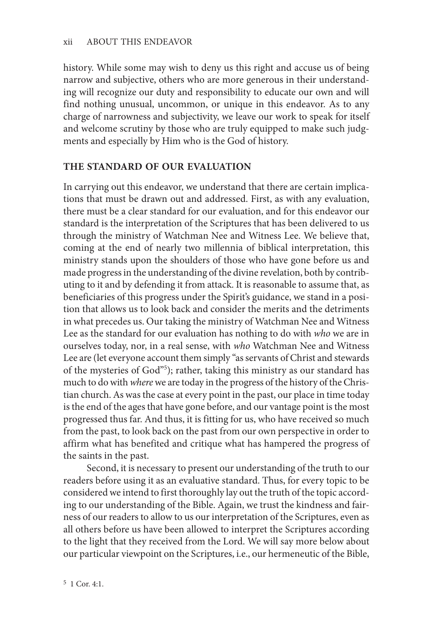history. While some may wish to deny us this right and accuse us of being narrow and subjective, others who are more generous in their understanding will recognize our duty and responsibility to educate our own and will find nothing unusual, uncommon, or unique in this endeavor. As to any charge of narrowness and subjectivity, we leave our work to speak for itself and welcome scrutiny by those who are truly equipped to make such judgments and especially by Him who is the God of history.

## **THE STANDARD OF OUR EVALUATION**

 In carrying out this endeavor, we understand that there are certain implications that must be drawn out and addressed. First, as with any evaluation, there must be a clear standard for our evaluation, and for this endeavor our standard is the interpretation of the Scriptures that has been delivered to us through the ministry of Watchman Nee and Witness Lee. We believe that, coming at the end of nearly two millennia of biblical interpretation, this ministry stands upon the shoulders of those who have gone before us and made progress in the understanding of the divine revelation, both by contributing to it and by defending it from attack. It is reasonable to assume that, as beneficiaries of this progress under the Spirit's guidance, we stand in a position that allows us to look back and consider the merits and the detriments in what precedes us. Our taking the ministry of Watchman Nee and Witness Lee as the standard for our evaluation has nothing to do with *who* we are in ourselves today, nor, in a real sense, with *who* Watchman Nee and Witness Lee are (let everyone account them simply "as servants of Christ and stewards of the mysteries of God"<sup>5</sup>); rather, taking this ministry as our standard has much to do with *where* we are today in the progress of the history of the Christian church. As was the case at every point in the past, our place in time today is the end of the ages that have gone before, and our vantage point is the most progressed thus far. And thus, it is fitting for us, who have received so much from the past, to look back on the past from our own perspective in order to affirm what has benefited and critique what has hampered the progress of the saints in the past.

 Second, it is necessary to present our understanding of the truth to our readers before using it as an evaluative standard. Thus, for every topic to be considered we intend to first thoroughly lay out the truth of the topic according to our understanding of the Bible. Again, we trust the kindness and fairness of our readers to allow to us our interpretation of the Scriptures, even as all others before us have been allowed to interpret the Scriptures according to the light that they received from the Lord. We will say more below about our particular viewpoint on the Scriptures, i.e., our hermeneutic of the Bible,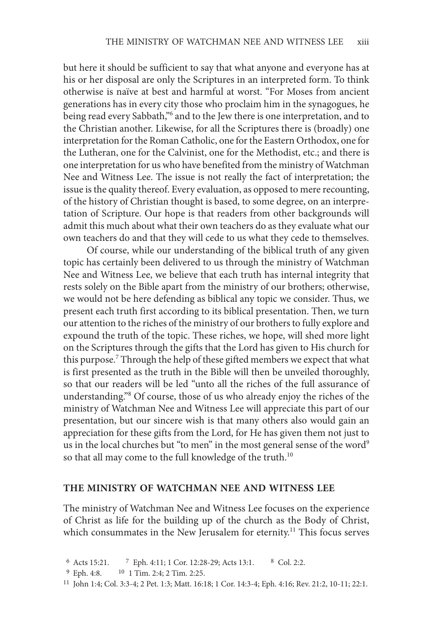but here it should be sufficient to say that what anyone and everyone has at his or her disposal are only the Scriptures in an interpreted form. To think otherwise is naïve at best and harmful at worst. "For Moses from ancient generations has in every city those who proclaim him in the synagogues, he being read every Sabbath,"<sup>6</sup> and to the Jew there is one interpretation, and to the Christian another. Likewise, for all the Scriptures there is (broadly) one interpretation for the Roman Catholic, one for the Eastern Orthodox, one for the Lutheran, one for the Calvinist, one for the Methodist, etc.; and there is one interpretation for us who have benefited from the ministry of Watchman Nee and Witness Lee. The issue is not really the fact of interpretation; the issue is the quality thereof. Every evaluation, as opposed to mere recounting, of the history of Christian thought is based, to some degree, on an interpretation of Scripture. Our hope is that readers from other backgrounds will admit this much about what their own teachers do as they evaluate what our own teachers do and that they will cede to us what they cede to themselves.

 Of course, while our understanding of the biblical truth of any given topic has certainly been delivered to us through the ministry of Watchman Nee and Witness Lee, we believe that each truth has internal integrity that rests solely on the Bible apart from the ministry of our brothers; otherwise, we would not be here defending as biblical any topic we consider. Thus, we present each truth first according to its biblical presentation. Then, we turn our attention to the riches of the ministry of our brothers to fully explore and expound the truth of the topic. These riches, we hope, will shed more light on the Scriptures through the gifts that the Lord has given to His church for this purpose.<sup>7</sup> Through the help of these gifted members we expect that what is first presented as the truth in the Bible will then be unveiled thoroughly, so that our readers will be led "unto all the riches of the full assurance of understanding."<sup>8</sup> Of course, those of us who already enjoy the riches of the ministry of Watchman Nee and Witness Lee will appreciate this part of our presentation, but our sincere wish is that many others also would gain an appreciation for these gifts from the Lord, for He has given them not just to us in the local churches but "to men" in the most general sense of the word<sup>9</sup> so that all may come to the full knowledge of the truth.<sup>10</sup>

#### **THE MINISTRY OF WATCHMAN NEE AND WITNESS LEE**

 The ministry of Watchman Nee and Witness Lee focuses on the experience of Christ as life for the building up of the church as the Body of Christ, which consummates in the New Jerusalem for eternity.<sup>11</sup> This focus serves

```
 9 Eph. 4:8. 10 1 Tim. 2:4; 2 Tim. 2:25.
```

```
11 John 1:4; Col. 3:3-4; 2 Pet. 1:3; Matt. 16:18; 1 Cor. 14:3-4; Eph. 4:16; Rev. 21:2, 10-11; 22:1.
```
 <sup>6</sup> Acts 15:21. 7 Eph. 4:11; 1 Cor. 12:28-29; Acts 13:1. 8 Col. 2:2.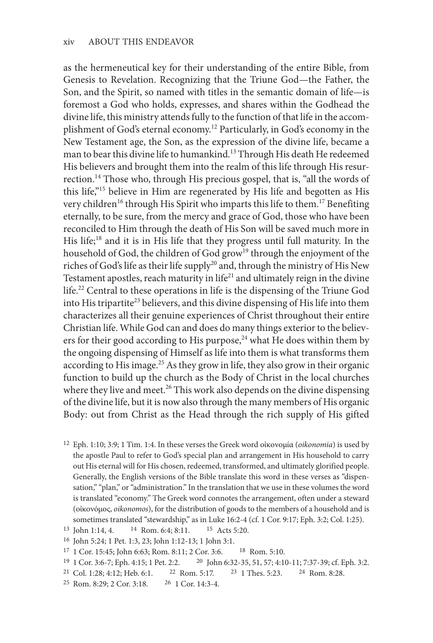as the hermeneutical key for their understanding of the entire Bible, from Genesis to Revelation. Recognizing that the Triune God—the Father, the Son, and the Spirit, so named with titles in the semantic domain of life—is foremost a God who holds, expresses, and shares within the Godhead the divine life, this ministry attends fully to the function of that life in the accomplishment of God's eternal economy.<sup>12</sup> Particularly, in God's economy in the New Testament age, the Son, as the expression of the divine life, became a man to bear this divine life to humankind.<sup>13</sup> Through His death He redeemed His believers and brought them into the realm of this life through His resurrection. 14 Those who, through His precious gospel, that is, "all the words of this life,"<sup>15</sup> believe in Him are regenerated by His life and begotten as His very children<sup>16</sup> through His Spirit who imparts this life to them.<sup>17</sup> Benefiting eternally, to be sure, from the mercy and grace of God, those who have been reconciled to Him through the death of His Son will be saved much more in His life; 18 and it is in His life that they progress until full maturity. In the household of God, the children of God grow<sup>19</sup> through the enjoyment of the riches of God's life as their life supply<sup>20</sup> and, through the ministry of His New Testament apostles, reach maturity in life $21$  and ultimately reign in the divine life.<sup>22</sup> Central to these operations in life is the dispensing of the Triune God into His tripartite<sup>23</sup> believers, and this divine dispensing of His life into them characterizes all their genuine experiences of Christ throughout their entire Christian life. While God can and does do many things exterior to the believers for their good according to His purpose, $24$  what He does within them by the ongoing dispensing of Himself as life into them is what transforms them according to His image.<sup>25</sup> As they grow in life, they also grow in their organic function to build up the church as the Body of Christ in the local churches where they live and meet.<sup>26</sup> This work also depends on the divine dispensing of the divine life, but it is now also through the many members of His organic Body: out from Christ as the Head through the rich supply of His gifted

12 Eph. 1:10; 3:9; 1 Tim. 1:4. In these verses the Greek word οἰκονομία (*oikonomia*) is used by the apostle Paul to refer to God's special plan and arrangement in His household to carry out His eternal will for His chosen, redeemed, transformed, and ultimately glorified people. Generally, the English versions of the Bible translate this word in these verses as "dispensation," "plan," or "administration." In the translation that we use in these volumes the word is translated "economy." The Greek word connotes the arrangement, often under a steward (οἰκονόμος, *oikonomos* ), for the distribution of goods to the members of a household and is sometimes translated "stewardship," as in Luke 16:2-4 (cf. 1 Cor. 9:17; Eph. 3:2; Col. 1:25).

- 17 1 Cor. 15:45; John 6:63; Rom. 8:11; 2 Cor. 3:6. 18 Rom. 5:10.
- 19 1 Cor. 3:6-7; Eph. 4:15; 1 Pet. 2:2. 20 John 6:32-35, 51, 57; 4:10-11; 7:37-39; cf. Eph. 3:2.
- 21 Col. 1:28; 4:12; Heb. 6:1. 22 Rom. 5:17. 23 1 Thes. 5:23. 24 Rom. 8:28.
- 25 Rom. 8:29; 2 Cor. 3:18. 26 1 Cor. 14:3-4.

<sup>13</sup> John 1:14, 4. <sup>14</sup> Rom. 6:4; 8:11. <sup>15</sup> Acts 5:20.

<sup>16</sup> John 5:24; 1 Pet. 1:3, 23; John 1:12-13; 1 John 3:1.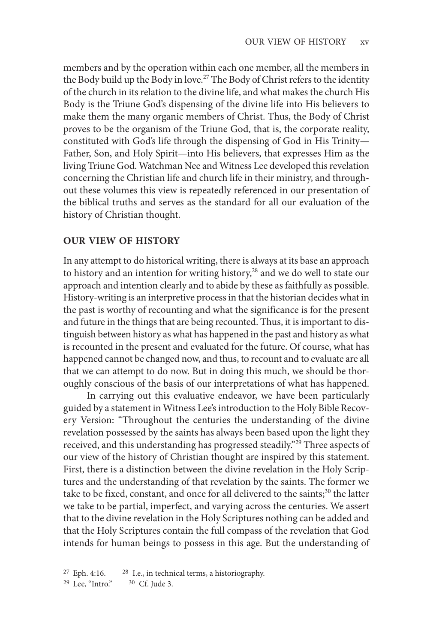members and by the operation within each one member, all the members in the Body build up the Body in love.<sup>27</sup> The Body of Christ refers to the identity of the church in its relation to the divine life, and what makes the church His Body is the Triune God's dispensing of the divine life into His believers to make them the many organic members of Christ. Thus, the Body of Christ proves to be the organism of the Triune God, that is, the corporate reality, constituted with God's life through the dispensing of God in His Trinity— Father, Son, and Holy Spirit—into His believers, that expresses Him as the living Triune God. Watchman Nee and Witness Lee developed this revelation concerning the Christian life and church life in their ministry, and throughout these volumes this view is repeatedly referenced in our presentation of the biblical truths and serves as the standard for all our evaluation of the history of Christian thought.

#### **OUR VIEW OF HISTORY**

 In any attempt to do historical writing, there is always at its base an approach to history and an intention for writing history,<sup>28</sup> and we do well to state our approach and intention clearly and to abide by these as faithfully as possible. History-writing is an interpretive process in that the historian decides what in the past is worthy of recounting and what the significance is for the present and future in the things that are being recounted. Thus, it is important to distinguish between history as what has happened in the past and history as what is recounted in the present and evaluated for the future. Of course, what has happened cannot be changed now, and thus, to recount and to evaluate are all that we can attempt to do now. But in doing this much, we should be thoroughly conscious of the basis of our interpretations of what has happened.

 In carrying out this evaluative endeavor, we have been particularly guided by a statement in Witness Lee's introduction to the Holy Bible Recovery Version: "Throughout the centuries the understanding of the divine revelation possessed by the saints has always been based upon the light they received, and this understanding has progressed steadily."<sup>29</sup> Three aspects of our view of the history of Christian thought are inspired by this statement. First, there is a distinction between the divine revelation in the Holy Scriptures and the understanding of that revelation by the saints. The former we take to be fixed, constant, and once for all delivered to the saints;<sup>30</sup> the latter we take to be partial, imperfect, and varying across the centuries. We assert that to the divine revelation in the Holy Scriptures nothing can be added and that the Holy Scriptures contain the full compass of the revelation that God intends for human beings to possess in this age. But the understanding of

27 Eph. 4:16. 28 I.e., in technical terms, a historiography. 29 Lee, "Intro." 30 Cf. Jude 3.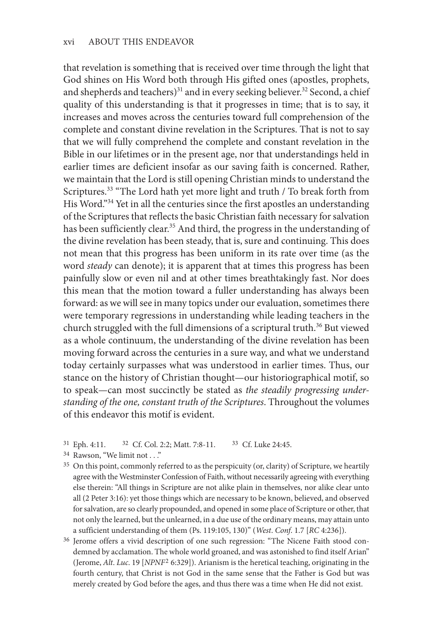that revelation is something that is received over time through the light that God shines on His Word both through His gifted ones (apostles, prophets, and shepherds and teachers)<sup>31</sup> and in every seeking believer.<sup>32</sup> Second, a chief quality of this understanding is that it progresses in time; that is to say, it increases and moves across the centuries toward full comprehension of the complete and constant divine revelation in the Scriptures. That is not to say that we will fully comprehend the complete and constant revelation in the Bible in our lifetimes or in the present age, nor that understandings held in earlier times are deficient insofar as our saving faith is concerned. Rather, we maintain that the Lord is still opening Christian minds to understand the Scriptures.<sup>33</sup> "The Lord hath yet more light and truth / To break forth from His Word."<sup>34</sup> Yet in all the centuries since the first apostles an understanding of the Scriptures that reflects the basic Christian faith necessary for salvation has been sufficiently clear.<sup>35</sup> And third, the progress in the understanding of the divine revelation has been steady, that is, sure and continuing. This does not mean that this progress has been uniform in its rate over time (as the word *steady* can denote); it is apparent that at times this progress has been painfully slow or even nil and at other times breathtakingly fast. Nor does this mean that the motion toward a fuller understanding has always been forward: as we will see in many topics under our evaluation, sometimes there were temporary regressions in understanding while leading teachers in the church struggled with the full dimensions of a scriptural truth. 36 But viewed as a whole continuum, the understanding of the divine revelation has been moving forward across the centuries in a sure way, and what we understand today certainly surpasses what was understood in earlier times. Thus, our stance on the history of Christian thought—our historiographical motif, so to speak—can most succinctly be stated as *the steadily progressing understanding of the one, constant truth of the Scriptures*. Throughout the volumes of this endeavor this motif is evident.

- 31 Eph. 4:11. 32 Cf. Col. 2:2; Matt. 7:8-11. 33 Cf. Luke 24:45.
- <sup>34</sup> Rawson, "We limit not . . ."
- <sup>35</sup> On this point, commonly referred to as the perspicuity (or, clarity) of Scripture, we heartily agree with the Westminster Confession of Faith, without necessarily agreeing with everything else therein: "All things in Scripture are not alike plain in themselves, nor alike clear unto all (2 Peter 3:16): yet those things which are necessary to be known, believed, and observed for salvation, are so clearly propounded, and opened in some place of Scripture or other, that not only the learned, but the unlearned, in a due use of the ordinary means, may attain unto a sufficient understanding of them (Ps. 119:105, 130)" ( *West*. *Conf*. 1.7 [*RC* 4:236]).
- 36 Jerome offers a vivid description of one such regression: "The Nicene Faith stood condemned by acclamation. The whole world groaned, and was astonished to find itself Arian" (Jerome, *Alt*. *Luc*. 19 [ *NPNF* 2 6:329]). Arianism is the heretical teaching, originating in the fourth century, that Christ is not God in the same sense that the Father is God but was merely created by God before the ages, and thus there was a time when He did not exist.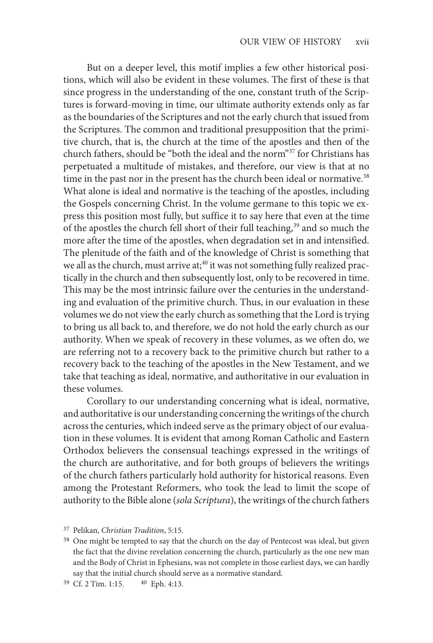But on a deeper level, this motif implies a few other historical positions, which will also be evident in these volumes. The first of these is that since progress in the understanding of the one, constant truth of the Scriptures is forward-moving in time, our ultimate authority extends only as far as the boundaries of the Scriptures and not the early church that issued from the Scriptures. The common and traditional presupposition that the primitive church, that is, the church at the time of the apostles and then of the church fathers, should be "both the ideal and the norm"<sup>37</sup> for Christians has perpetuated a multitude of mistakes, and therefore, our view is that at no time in the past nor in the present has the church been ideal or normative.<sup>38</sup> What alone is ideal and normative is the teaching of the apostles, including the Gospels concerning Christ. In the volume germane to this topic we express this position most fully, but suffice it to say here that even at the time of the apostles the church fell short of their full teaching,<sup>39</sup> and so much the more after the time of the apostles, when degradation set in and intensified. The plenitude of the faith and of the knowledge of Christ is something that we all as the church, must arrive at;<sup>40</sup> it was not something fully realized practically in the church and then subsequently lost, only to be recovered in time. This may be the most intrinsic failure over the centuries in the understanding and evaluation of the primitive church. Thus, in our evaluation in these volumes we do not view the early church as something that the Lord is trying to bring us all back to, and therefore, we do not hold the early church as our authority. When we speak of recovery in these volumes, as we often do, we are referring not to a recovery back to the primitive church but rather to a recovery back to the teaching of the apostles in the New Testament, and we take that teaching as ideal, normative, and authoritative in our evaluation in these volumes.

 Corollary to our understanding concerning what is ideal, normative, and authoritative is our understanding concerning the writings of the church across the centuries, which indeed serve as the primary object of our evaluation in these volumes. It is evident that among Roman Catholic and Eastern Orthodox believers the consensual teachings expressed in the writings of the church are authoritative, and for both groups of believers the writings of the church fathers particularly hold authority for historical reasons. Even among the Protestant Reformers, who took the lead to limit the scope of authority to the Bible alone (*sola Scriptura*), the writings of the church fathers

<sup>37</sup> Pelikan, *Christian Tradition*, 5:15.

<sup>&</sup>lt;sup>38</sup> One might be tempted to say that the church on the day of Pentecost was ideal, but given the fact that the divine revelation concerning the church, particularly as the one new man and the Body of Christ in Ephesians, was not complete in those earliest days, we can hardly say that the initial church should serve as a normative standard.

<sup>39</sup> Cf. 2 Tim. 1:15. 40 Eph. 4:13.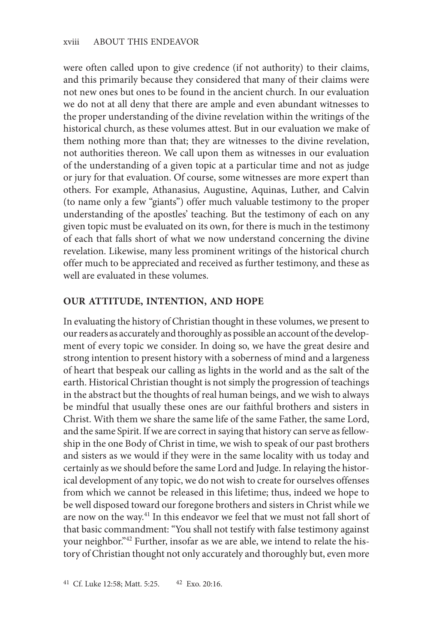were often called upon to give credence (if not authority) to their claims, and this primarily because they considered that many of their claims were not new ones but ones to be found in the ancient church. In our evaluation we do not at all deny that there are ample and even abundant witnesses to the proper understanding of the divine revelation within the writings of the historical church, as these volumes attest. But in our evaluation we make of them nothing more than that; they are witnesses to the divine revelation, not authorities thereon. We call upon them as witnesses in our evaluation of the understanding of a given topic at a particular time and not as judge or jury for that evaluation. Of course, some witnesses are more expert than others. For example, Athanasius, Augustine, Aquinas, Luther, and Calvin (to name only a few "giants") offer much valuable testimony to the proper understanding of the apostles' teaching. But the testimony of each on any given topic must be evaluated on its own, for there is much in the testimony of each that falls short of what we now understand concerning the divine revelation. Likewise, many less prominent writings of the historical church offer much to be appreciated and received as further testimony, and these as well are evaluated in these volumes.

### **OUR ATTITUDE, INTENTION, AND HOPE**

 In evaluating the history of Christian thought in these volumes, we present to our readers as accurately and thoroughly as possible an account of the development of every topic we consider. In doing so, we have the great desire and strong intention to present history with a soberness of mind and a largeness of heart that bespeak our calling as lights in the world and as the salt of the earth. Historical Christian thought is not simply the progression of teachings in the abstract but the thoughts of real human beings, and we wish to always be mindful that usually these ones are our faithful brothers and sisters in Christ. With them we share the same life of the same Father, the same Lord, and the same Spirit. If we are correct in saying that history can serve as fellowship in the one Body of Christ in time, we wish to speak of our past brothers and sisters as we would if they were in the same locality with us today and certainly as we should before the same Lord and Judge. In relaying the historical development of any topic, we do not wish to create for ourselves offenses from which we cannot be released in this lifetime; thus, indeed we hope to be well disposed toward our foregone brothers and sisters in Christ while we are now on the way.<sup>41</sup> In this endeavor we feel that we must not fall short of that basic commandment: "You shall not testify with false testimony against your neighbor."<sup>42</sup> Further, insofar as we are able, we intend to relate the history of Christian thought not only accurately and thoroughly but, even more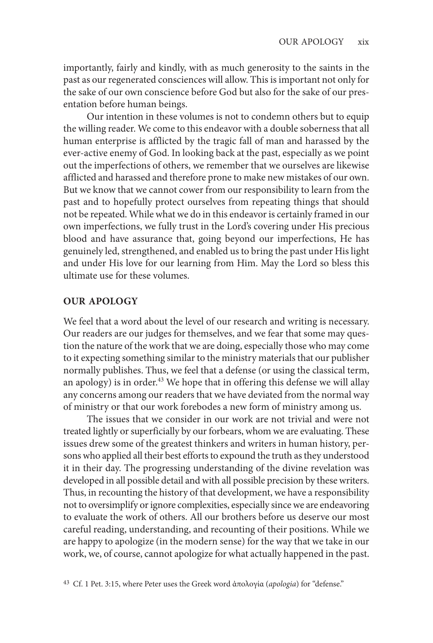importantly, fairly and kindly, with as much generosity to the saints in the past as our regenerated consciences will allow. This is important not only for the sake of our own conscience before God but also for the sake of our presentation before human beings.

 Our intention in these volumes is not to condemn others but to equip the willing reader. We come to this endeavor with a double soberness that all human enterprise is afflicted by the tragic fall of man and harassed by the ever-active enemy of God. In looking back at the past, especially as we point out the imperfections of others, we remember that we ourselves are likewise afflicted and harassed and therefore prone to make new mistakes of our own. But we know that we cannot cower from our responsibility to learn from the past and to hopefully protect ourselves from repeating things that should not be repeated. While what we do in this endeavor is certainly framed in our own imperfections, we fully trust in the Lord's covering under His precious blood and have assurance that, going beyond our imperfections, He has genuinely led, strengthened, and enabled us to bring the past under His light and under His love for our learning from Him. May the Lord so bless this ultimate use for these volumes.

# **OUR APOLOGY**

We feel that a word about the level of our research and writing is necessary. Our readers are our judges for themselves, and we fear that some may question the nature of the work that we are doing, especially those who may come to it expecting something similar to the ministry materials that our publisher normally publishes. Thus, we feel that a defense (or using the classical term, an apology) is in order.<sup>43</sup> We hope that in offering this defense we will allay any concerns among our readers that we have deviated from the normal way of ministry or that our work forebodes a new form of ministry among us.

The issues that we consider in our work are not trivial and were not treated lightly or superficially by our forbears, whom we are evaluating. These issues drew some of the greatest thinkers and writers in human history, persons who applied all their best efforts to expound the truth as they understood it in their day. The progressing understanding of the divine revelation was developed in all possible detail and with all possible precision by these writers. Thus, in recounting the history of that development, we have a responsibility not to oversimplify or ignore complexities, especially since we are endeavoring to evaluate the work of others. All our brothers before us deserve our most careful reading, understanding, and recounting of their positions. While we are happy to apologize (in the modern sense) for the way that we take in our work, we, of course, cannot apologize for what actually happened in the past.

<sup>43</sup> Cf. 1 Pet. 3:15, where Peter uses the Greek word ἀπολογία (*apologia*) for "defense."